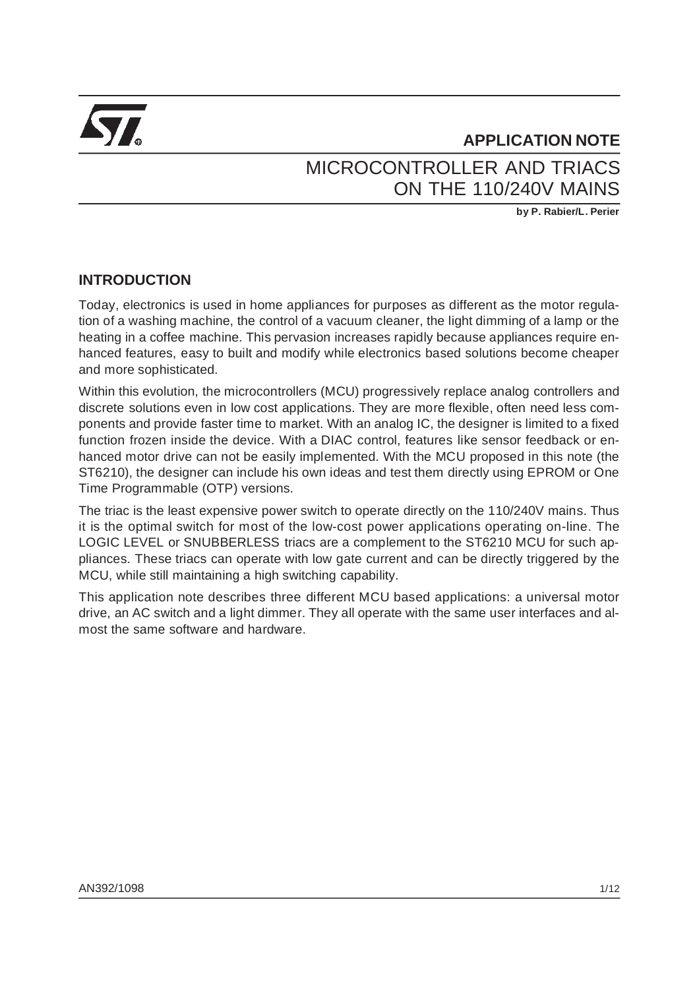

# **APPLICATION NOTE** MICROCONTROLLER AND TRIACS ON THE 110/240V MAINS

**by P. Rabier/L. Perier**

# **INTRODUCTION**

Today, electronics is used in home appliances for purposes as different as the motor regulation of a washing machine, the control of a vacuum cleaner, the light dimming of a lamp or the heating in a coffee machine. This pervasion increases rapidly because appliances require enhanced features, easy to built and modify while electronics based solutions become cheaper and more sophisticated.

Within this evolution, the microcontrollers (MCU) progressively replace analog controllers and discrete solutions even in low cost applications. They are more flexible, often need less components and provide faster time to market. With an analog IC, the designer is limited to a fixed function frozen inside the device. With a DIAC control, features like sensor feedback or enhanced motor drive can not be easily implemented. With the MCU proposed in this note (the ST6210), the designer can include his own ideas and test them directly using EPROM or One Time Programmable (OTP) versions.

The triac is the least expensive power switch to operate directly on the 110/240V mains. Thus it is the optimal switch for most of the low-cost power applications operating on-line. The LOGIC LEVEL or SNUBBERLESS triacs are a complement to the ST6210 MCU for such appliances. These triacs can operate with low gate current and can be directly triggered by the MCU, while still maintaining a high switching capability.

This application note describes three different MCU based applications: a universal motor drive, an AC switch and a light dimmer. They all operate with the same user interfaces and almost the same software and hardware.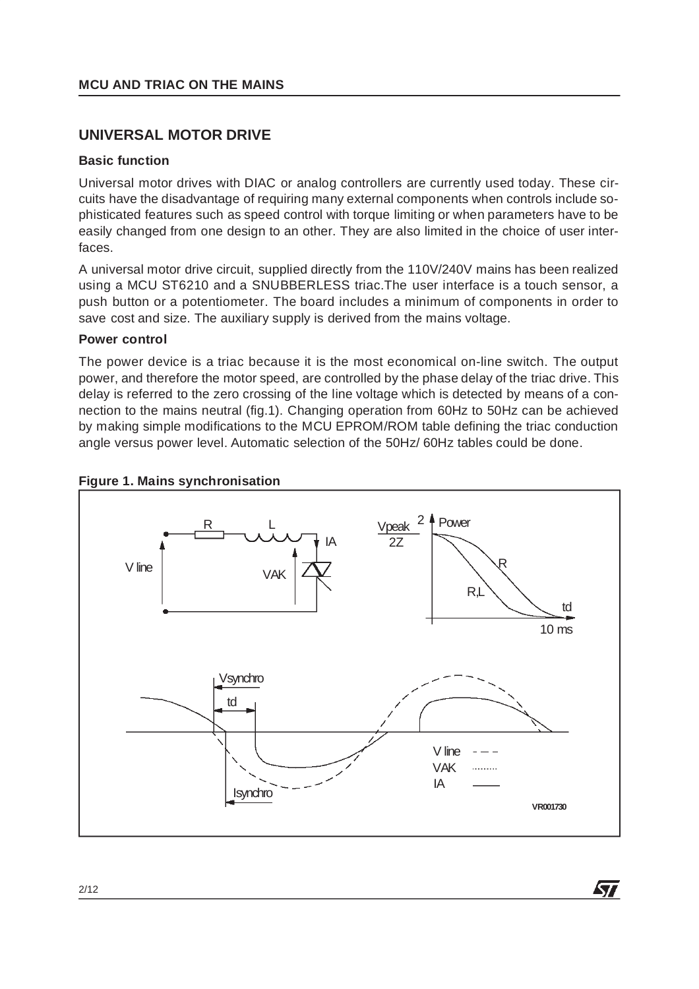# **UNIVERSAL MOTOR DRIVE**

#### **Basic function**

Universal motor drives with DIAC or analog controllers are currently used today. These circuits have the disadvantage of requiring many external components when controls include sophisticated features such as speed control with torque limiting or when parameters have to be easily changed from one design to an other. They are also limited in the choice of user interfaces.

A universal motor drive circuit, supplied directly from the 110V/240V mains has been realized using a MCU ST6210 and a SNUBBERLESS triac.The user interface is a touch sensor, a push button or a potentiometer. The board includes a minimum of components in order to save cost and size. The auxiliary supply is derived from the mains voltage.

#### **Power control**

The power device is a triac because it is the most economical on-line switch. The output power, and therefore the motor speed, are controlled by the phase delay of the triac drive. This delay is referred to the zero crossing of the line voltage which is detected by means of a connection to the mains neutral (fig.1). Changing operation from 60Hz to 50Hz can be achieved by making simple modifications to the MCU EPROM/ROM table defining the triac conduction angle versus power level. Automatic selection of the 50Hz/ 60Hz tables could be done.



**ST** 

#### **Figure 1. Mains synchronisation**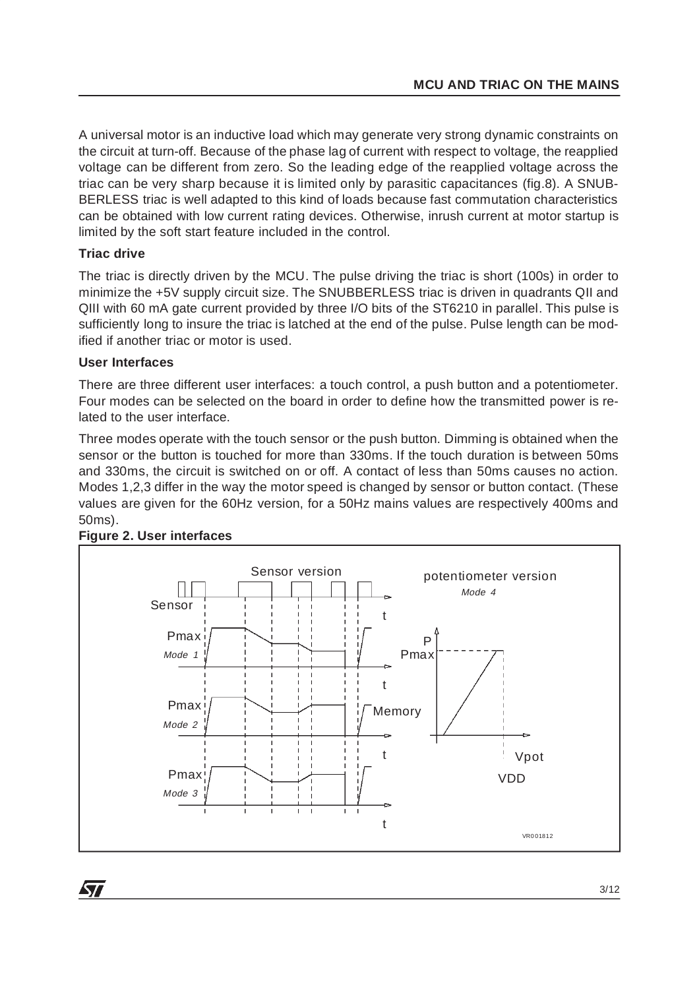A universal motor is an inductive load which may generate very strong dynamic constraints on the circuit at turn-off. Because of the phase lag of current with respect to voltage, the reapplied voltage can be different from zero. So the leading edge of the reapplied voltage across the triac can be very sharp because it is limited only by parasitic capacitances (fig.8). A SNUB-BERLESS triac is well adapted to this kind of loads because fast commutation characteristics can be obtained with low current rating devices. Otherwise, inrush current at motor startup is limited by the soft start feature included in the control.

#### **Triac drive**

The triac is directly driven by the MCU. The pulse driving the triac is short (100s) in order to minimize the +5V supply circuit size. The SNUBBERLESS triac is driven in quadrants QII and QIII with 60 mA gate current provided by three I/O bits of the ST6210 in parallel. This pulse is sufficiently long to insure the triac is latched at the end of the pulse. Pulse length can be modified if another triac or motor is used.

#### **User Interfaces**

There are three different user interfaces: a touch control, a push button and a potentiometer. Four modes can be selected on the board in order to define how the transmitted power is related to the user interface.

Three modes operate with the touch sensor or the push button. Dimming is obtained when the sensor or the button is touched for more than 330ms. If the touch duration is between 50ms and 330ms, the circuit is switched on or off. A contact of less than 50ms causes no action. Modes 1,2,3 differ in the way the motor speed is changed by sensor or button contact. (These values are given for the 60Hz version, for a 50Hz mains values are respectively 400ms and 50ms).



### **Figure 2. User interfaces**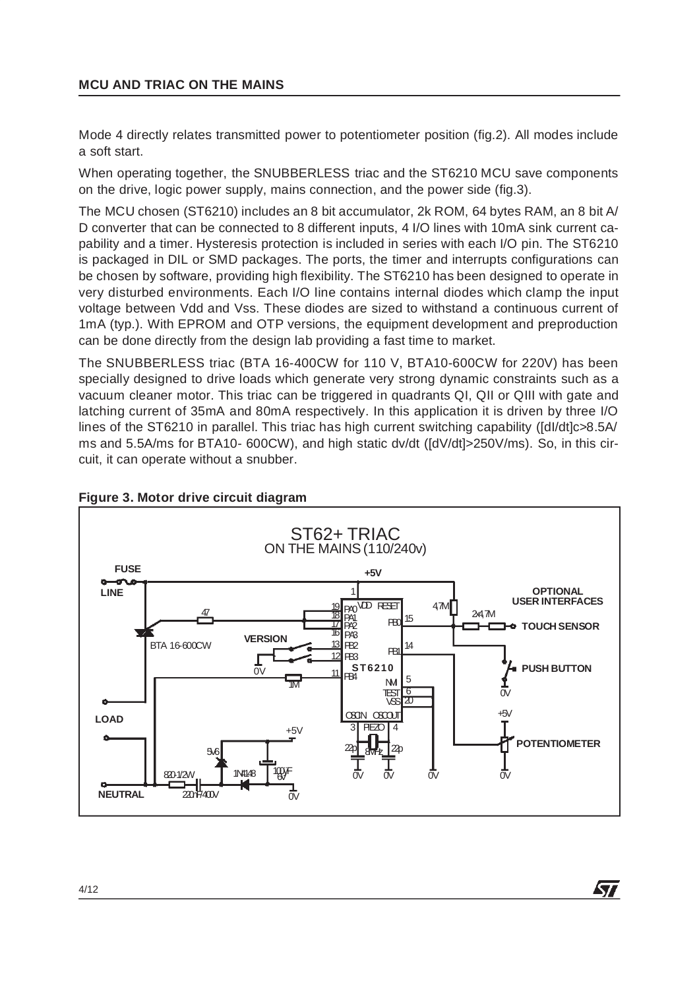Mode 4 directly relates transmitted power to potentiometer position (fig.2). All modes include a soft start.

When operating together, the SNUBBERLESS triac and the ST6210 MCU save components on the drive, logic power supply, mains connection, and the power side (fig.3).

The MCU chosen (ST6210) includes an 8 bit accumulator, 2k ROM, 64 bytes RAM, an 8 bit A/ D converter that can be connected to 8 different inputs, 4 I/O lines with 10mA sink current capability and a timer. Hysteresis protection is included in series with each I/O pin. The ST6210 is packaged in DIL or SMD packages. The ports, the timer and interrupts configurations can be chosen by software, providing high flexibility. The ST6210 has been designed to operate in very disturbed environments. Each I/O line contains internal diodes which clamp the input voltage between Vdd and Vss. These diodes are sized to withstand a continuous current of 1mA (typ.). With EPROM and OTP versions, the equipment development and preproduction can be done directly from the design lab providing a fast time to market.

The SNUBBERLESS triac (BTA 16-400CW for 110 V, BTA10-600CW for 220V) has been specially designed to drive loads which generate very strong dynamic constraints such as a vacuum cleaner motor. This triac can be triggered in quadrants QI, QII or QIII with gate and latching current of 35mA and 80mA respectively. In this application it is driven by three I/O lines of the ST6210 in parallel. This triac has high current switching capability ( $\frac{d}{dt}$ c>8.5A/ ms and 5.5A/ms for BTA10- 600CW), and high static dv/dt ([dV/dt]>250V/ms). So, in this circuit, it can operate without a snubber.



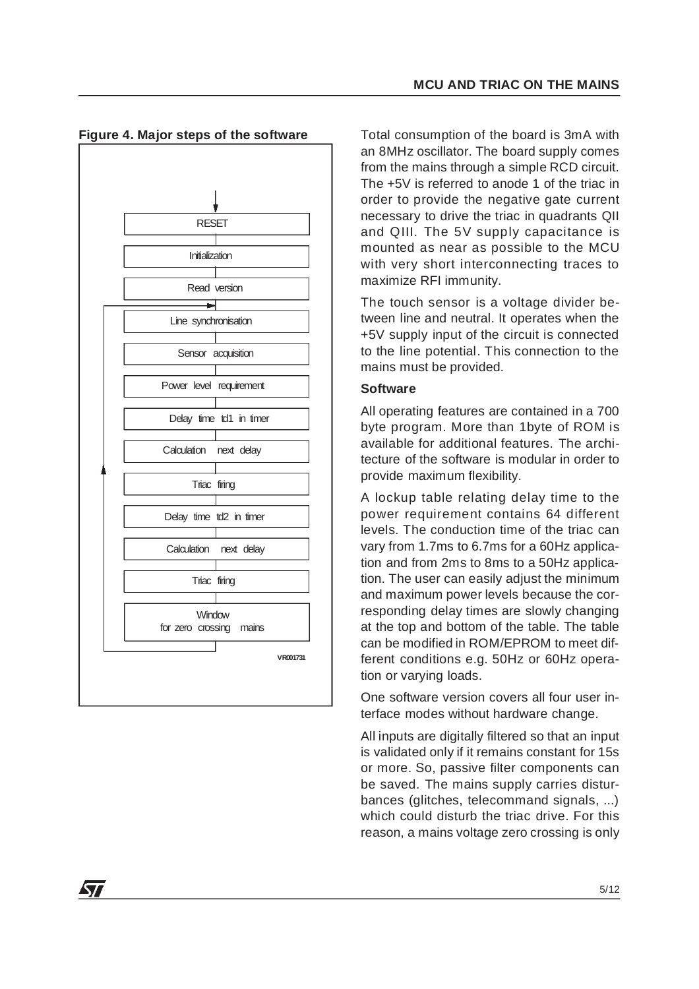

**Figure 4. Major steps of the software** Total consumption of the board is 3mA with an 8MHz oscillator. The board supply comes from the mains through a simple RCD circuit. The +5V is referred to anode 1 of the triac in order to provide the negative gate current necessary to drive the triac in quadrants QII and QIII. The 5V supply capacitance is mounted as near as possible to the MCU with very short interconnecting traces to maximize RFI immunity.

> The touch sensor is a voltage divider between line and neutral. It operates when the +5V supply input of the circuit is connected to the line potential. This connection to the mains must be provided.

#### **Software**

All operating features are contained in a 700 byte program. More than 1byte of ROM is available for additional features. The architecture of the software is modular in order to provide maximum flexibility.

A lockup table relating delay time to the power requirement contains 64 different levels. The conduction time of the triac can vary from 1.7ms to 6.7ms for a 60Hz application and from 2ms to 8ms to a 50Hz application. The user can easily adjust the minimum and maximum power levels because the corresponding delay times are slowly changing at the top and bottom of the table. The table can be modified in ROM/EPROM to meet different conditions e.g. 50Hz or 60Hz operation or varying loads.

One software version covers all four user interface modes without hardware change.

All inputs are digitally filtered so that an input is validated only if it remains constant for 15s or more. So, passive filter components can be saved. The mains supply carries disturbances (glitches, telecommand signals, ...) which could disturb the triac drive. For this reason, a mains voltage zero crossing is only

**ST**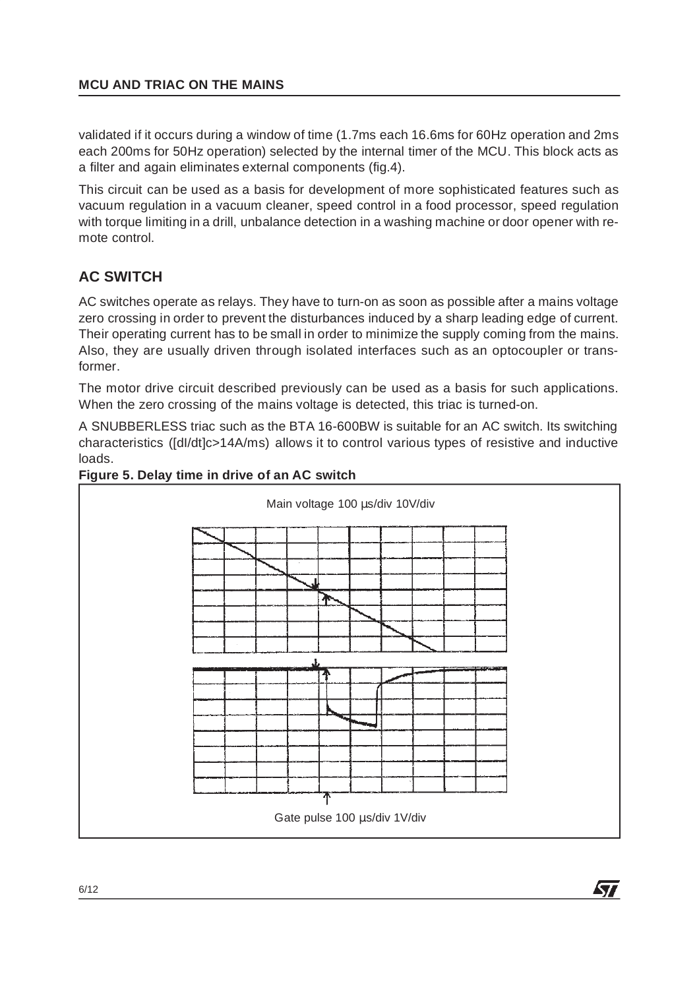validated if it occurs during a window of time (1.7ms each 16.6ms for 60Hz operation and 2ms each 200ms for 50Hz operation) selected by the internal timer of the MCU. This block acts as a filter and again eliminates external components (fig.4).

This circuit can be used as a basis for development of more sophisticated features such as vacuum regulation in a vacuum cleaner, speed control in a food processor, speed regulation with torque limiting in a drill, unbalance detection in a washing machine or door opener with remote control.

# **AC SWITCH**

AC switches operate as relays. They have to turn-on as soon as possible after a mains voltage zero crossing in order to prevent the disturbances induced by a sharp leading edge of current. Their operating current has to be small in order to minimize the supply coming from the mains. Also, they are usually driven through isolated interfaces such as an optocoupler or transformer.

The motor drive circuit described previously can be used as a basis for such applications. When the zero crossing of the mains voltage is detected, this triac is turned-on.

A SNUBBERLESS triac such as the BTA 16-600BW is suitable for an AC switch. Its switching characteristics ([dI/dt]c>14A/ms) allows it to control various types of resistive and inductive loads.



#### **Figure 5. Delay time in drive of an AC switch**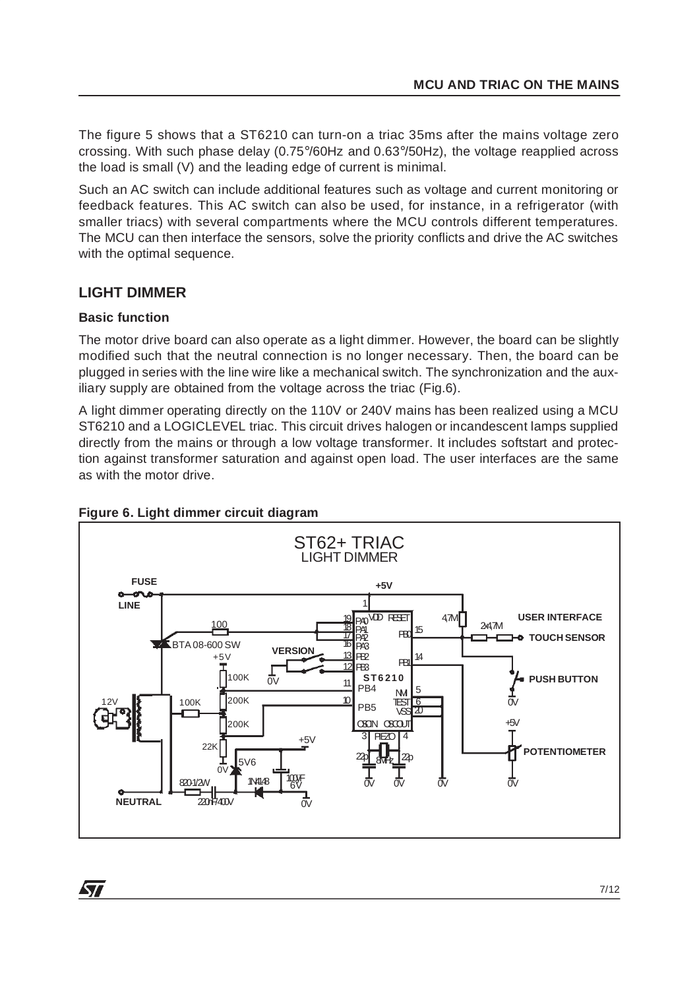The figure 5 shows that a ST6210 can turn-on a triac 35ms after the mains voltage zero crossing. With such phase delay (0.75 $\degree$ /60Hz and 0.63 $\degree$ /50Hz), the voltage reapplied across the load is small (V) and the leading edge of current is minimal.

Such an AC switch can include additional features such as voltage and current monitoring or feedback features. This AC switch can also be used, for instance, in a refrigerator (with smaller triacs) with several compartments where the MCU controls different temperatures. The MCU can then interface the sensors, solve the priority conflicts and drive the AC switches with the optimal sequence.

# **LIGHT DIMMER**

### **Basic function**

**ST** 

The motor drive board can also operate as a light dimmer. However, the board can be slightly modified such that the neutral connection is no longer necessary. Then, the board can be plugged in series with the line wire like a mechanical switch. The synchronization and the auxiliary supply are obtained from the voltage across the triac (Fig.6).

A light dimmer operating directly on the 110V or 240V mains has been realized using a MCU ST6210 and a LOGICLEVEL triac. This circuit drives halogen or incandescent lamps supplied directly from the mains or through a low voltage transformer. It includes softstart and protection against transformer saturation and against open load. The user interfaces are the same as with the motor drive.



# **Figure 6. Light dimmer circuit diagram**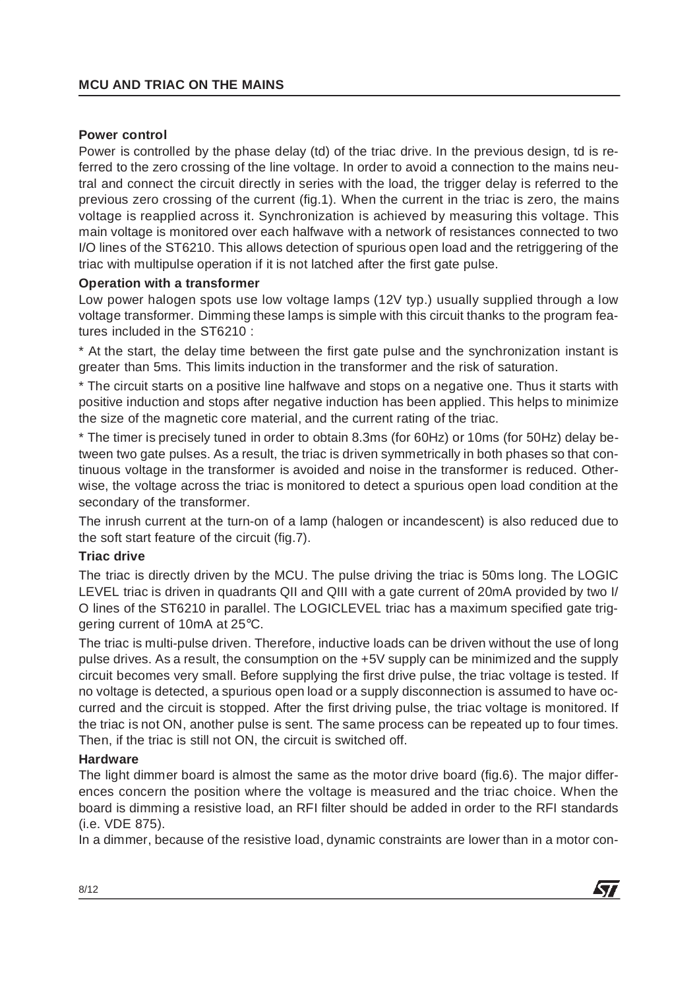#### **Power control**

Power is controlled by the phase delay (td) of the triac drive. In the previous design, td is referred to the zero crossing of the line voltage. In order to avoid a connection to the mains neutral and connect the circuit directly in series with the load, the trigger delay is referred to the previous zero crossing of the current (fig.1). When the current in the triac is zero, the mains voltage is reapplied across it. Synchronization is achieved by measuring this voltage. This main voltage is monitored over each halfwave with a network of resistances connected to two I/O lines of the ST6210. This allows detection of spurious open load and the retriggering of the triac with multipulse operation if it is not latched after the first gate pulse.

#### **Operation with a transformer**

Low power halogen spots use low voltage lamps (12V typ.) usually supplied through a low voltage transformer. Dimming these lamps is simple with this circuit thanks to the program features included in the ST6210 :

\* At the start, the delay time between the first gate pulse and the synchronization instant is greater than 5ms. This limits induction in the transformer and the risk of saturation.

\* The circuit starts on a positive line halfwave and stops on a negative one. Thus it starts with positive induction and stops after negative induction has been applied. This helps to minimize the size of the magnetic core material, and the current rating of the triac.

\* The timer is precisely tuned in order to obtain 8.3ms (for 60Hz) or 10ms (for 50Hz) delay between two gate pulses. As a result, the triac is driven symmetrically in both phases so that continuous voltage in the transformer is avoided and noise in the transformer is reduced. Otherwise, the voltage across the triac is monitored to detect a spurious open load condition at the secondary of the transformer.

The inrush current at the turn-on of a lamp (halogen or incandescent) is also reduced due to the soft start feature of the circuit (fig.7).

#### **Triac drive**

The triac is directly driven by the MCU. The pulse driving the triac is 50ms long. The LOGIC LEVEL triac is driven in quadrants QII and QIII with a gate current of 20mA provided by two I/ O lines of the ST6210 in parallel. The LOGICLEVEL triac has a maximum specified gate triggering current of 10mA at 25°C.

The triac is multi-pulse driven. Therefore, inductive loads can be driven without the use of long pulse drives. As a result, the consumption on the +5V supply can be minimized and the supply circuit becomes very small. Before supplying the first drive pulse, the triac voltage is tested. If no voltage is detected, a spurious open load or a supply disconnection is assumed to have occurred and the circuit is stopped. After the first driving pulse, the triac voltage is monitored. If the triac is not ON, another pulse is sent. The same process can be repeated up to four times. Then, if the triac is still not ON, the circuit is switched off.

#### **Hardware**

The light dimmer board is almost the same as the motor drive board (fig.6). The major differences concern the position where the voltage is measured and the triac choice. When the board is dimming a resistive load, an RFI filter should be added in order to the RFI standards (i.e. VDE 875).

In a dimmer, because of the resistive load, dynamic constraints are lower than in a motor con-

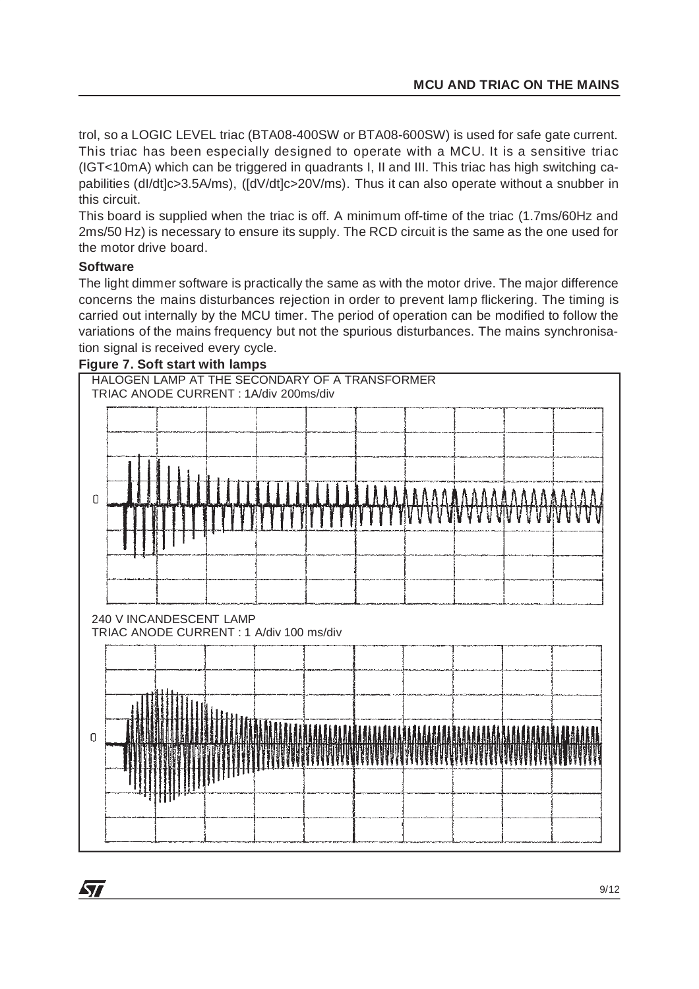trol, so a LOGIC LEVEL triac (BTA08-400SW or BTA08-600SW) is used for safe gate current. This triac has been especially designed to operate with a MCU. It is a sensitive triac (IGT<10mA) which can be triggered in quadrants I, II and III. This triac has high switching capabilities (dI/dt]c>3.5A/ms), ([dV/dt]c>20V/ms). Thus it can also operate without a snubber in this circuit.

This board is supplied when the triac is off. A minimum off-time of the triac (1.7ms/60Hz and 2ms/50 Hz) is necessary to ensure its supply. The RCD circuit is the same as the one used for the motor drive board.

#### **Software**

**ST** 

The light dimmer software is practically the same as with the motor drive. The major difference concerns the mains disturbances rejection in order to prevent lamp flickering. The timing is carried out internally by the MCU timer. The period of operation can be modified to follow the variations of the mains frequency but not the spurious disturbances. The mains synchronisation signal is received every cycle.

#### **Figure 7. Soft start with lamps**

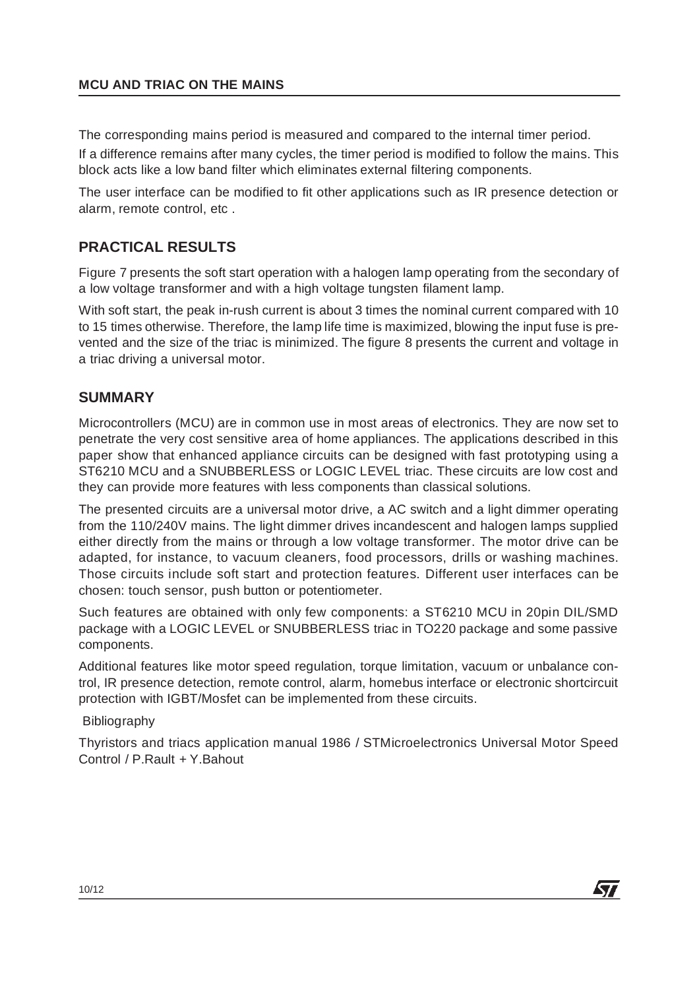The corresponding mains period is measured and compared to the internal timer period.

If a difference remains after many cycles, the timer period is modified to follow the mains. This block acts like a low band filter which eliminates external filtering components.

The user interface can be modified to fit other applications such as IR presence detection or alarm, remote control, etc .

# **PRACTICAL RESULTS**

Figure 7 presents the soft start operation with a halogen lamp operating from the secondary of a low voltage transformer and with a high voltage tungsten filament lamp.

With soft start, the peak in-rush current is about 3 times the nominal current compared with 10 to 15 times otherwise. Therefore, the lamp life time is maximized, blowing the input fuse is prevented and the size of the triac is minimized. The figure 8 presents the current and voltage in a triac driving a universal motor.

# **SUMMARY**

Microcontrollers (MCU) are in common use in most areas of electronics. They are now set to penetrate the very cost sensitive area of home appliances. The applications described in this paper show that enhanced appliance circuits can be designed with fast prototyping using a ST6210 MCU and a SNUBBERLESS or LOGIC LEVEL triac. These circuits are low cost and they can provide more features with less components than classical solutions.

The presented circuits are a universal motor drive, a AC switch and a light dimmer operating from the 110/240V mains. The light dimmer drives incandescent and halogen lamps supplied either directly from the mains or through a low voltage transformer. The motor drive can be adapted, for instance, to vacuum cleaners, food processors, drills or washing machines. Those circuits include soft start and protection features. Different user interfaces can be chosen: touch sensor, push button or potentiometer.

Such features are obtained with only few components: a ST6210 MCU in 20pin DIL/SMD package with a LOGIC LEVEL or SNUBBERLESS triac in TO220 package and some passive components.

Additional features like motor speed regulation, torque limitation, vacuum or unbalance control, IR presence detection, remote control, alarm, homebus interface or electronic shortcircuit protection with IGBT/Mosfet can be implemented from these circuits.

Bibliography

Thyristors and triacs application manual 1986 / STMicroelectronics Universal Motor Speed Control / P.Rault + Y.Bahout

*st*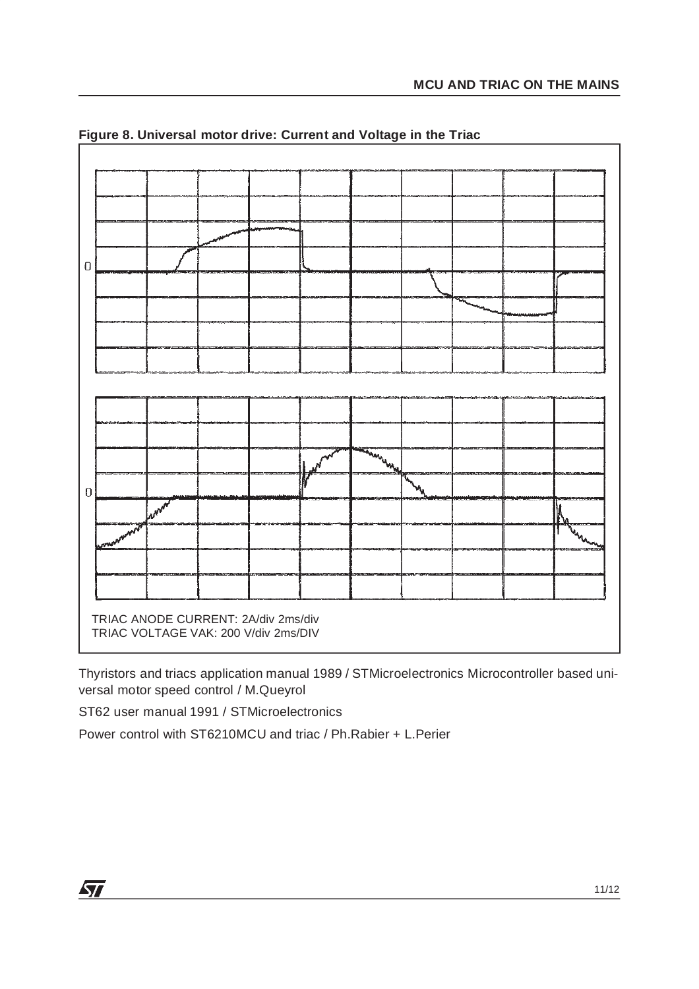

**Figure 8. Universal motor drive: Current and Voltage in the Triac**

Thyristors and triacs application manual 1989 / STMicroelectronics Microcontroller based universal motor speed control / M.Queyrol

ST62 user manual 1991 / STMicroelectronics

Power control with ST6210MCU and triac / Ph.Rabier + L.Perier